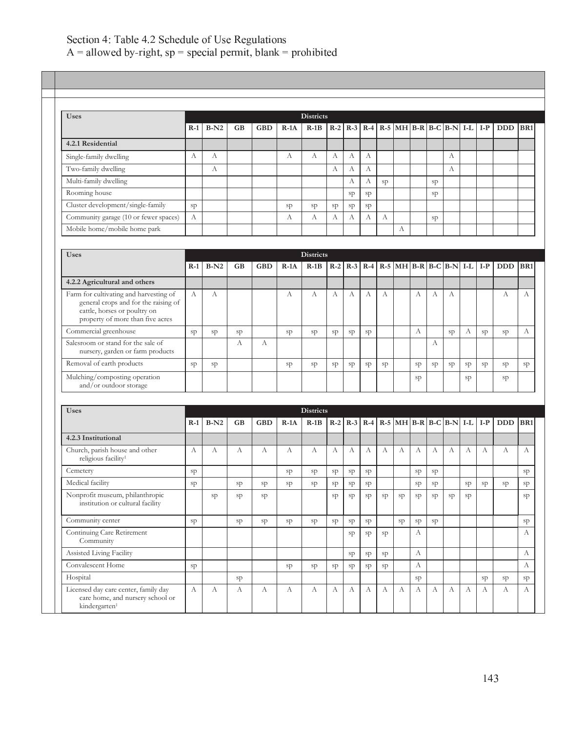## . The contract of the contract of the contract of the contract of the contract of the contract of the contract of the contract of the contract of the contract of the contract of the contract of the contract of the contrac

Continuing Care Retirement Community

Licensed day care center, family day care home, and nursery school or

kindergarten<sup>1</sup>

| <b>Uses</b>                                                                                                                                        |                                                                                                                                                                                                                                                                                                                                                                                                                                                                                                                                                                                                                                                                                                                                                                                                                                                                              |        |           |            |        |        |              |       |    |    |   |                  |    |              |    |    |              |  |
|----------------------------------------------------------------------------------------------------------------------------------------------------|------------------------------------------------------------------------------------------------------------------------------------------------------------------------------------------------------------------------------------------------------------------------------------------------------------------------------------------------------------------------------------------------------------------------------------------------------------------------------------------------------------------------------------------------------------------------------------------------------------------------------------------------------------------------------------------------------------------------------------------------------------------------------------------------------------------------------------------------------------------------------|--------|-----------|------------|--------|--------|--------------|-------|----|----|---|------------------|----|--------------|----|----|--------------|--|
|                                                                                                                                                    |                                                                                                                                                                                                                                                                                                                                                                                                                                                                                                                                                                                                                                                                                                                                                                                                                                                                              |        |           |            |        |        |              |       |    |    |   |                  |    |              |    |    | <b>DDD</b>   |  |
| 4.2.1 Residential                                                                                                                                  |                                                                                                                                                                                                                                                                                                                                                                                                                                                                                                                                                                                                                                                                                                                                                                                                                                                                              |        |           |            |        |        |              |       |    |    |   |                  |    |              |    |    |              |  |
| Single-family dwelling                                                                                                                             | A                                                                                                                                                                                                                                                                                                                                                                                                                                                                                                                                                                                                                                                                                                                                                                                                                                                                            | А      |           |            | A      | А      | А            | A     | А  |    |   |                  |    | А            |    |    |              |  |
| Two-family dwelling                                                                                                                                |                                                                                                                                                                                                                                                                                                                                                                                                                                                                                                                                                                                                                                                                                                                                                                                                                                                                              | А      |           |            |        |        | A            | A     | А  |    |   |                  |    | A            |    |    |              |  |
| Multi-family dwelling                                                                                                                              |                                                                                                                                                                                                                                                                                                                                                                                                                                                                                                                                                                                                                                                                                                                                                                                                                                                                              |        |           |            |        |        |              | A     | A  | sp |   |                  | sp |              |    |    |              |  |
| Rooming house                                                                                                                                      |                                                                                                                                                                                                                                                                                                                                                                                                                                                                                                                                                                                                                                                                                                                                                                                                                                                                              |        |           |            |        |        |              | sp    | sp |    |   |                  | sp |              |    |    |              |  |
| Cluster development/single-family                                                                                                                  | sp                                                                                                                                                                                                                                                                                                                                                                                                                                                                                                                                                                                                                                                                                                                                                                                                                                                                           |        |           |            | sp     | sp     | sp           | sp    | sp |    |   |                  |    |              |    |    |              |  |
| Community garage (10 or fewer spaces)                                                                                                              | А                                                                                                                                                                                                                                                                                                                                                                                                                                                                                                                                                                                                                                                                                                                                                                                                                                                                            |        |           |            | А      | А      | А            | A     | А  | А  |   |                  | sp |              |    |    |              |  |
| Mobile home/mobile home park                                                                                                                       |                                                                                                                                                                                                                                                                                                                                                                                                                                                                                                                                                                                                                                                                                                                                                                                                                                                                              |        |           |            |        |        |              |       |    |    | А |                  |    |              |    |    |              |  |
|                                                                                                                                                    |                                                                                                                                                                                                                                                                                                                                                                                                                                                                                                                                                                                                                                                                                                                                                                                                                                                                              |        |           |            |        |        |              |       |    |    |   |                  |    |              |    |    |              |  |
| <b>Uses</b>                                                                                                                                        |                                                                                                                                                                                                                                                                                                                                                                                                                                                                                                                                                                                                                                                                                                                                                                                                                                                                              |        |           |            |        |        |              |       |    |    |   |                  |    |              |    |    |              |  |
|                                                                                                                                                    | $R-1$                                                                                                                                                                                                                                                                                                                                                                                                                                                                                                                                                                                                                                                                                                                                                                                                                                                                        | $B-N2$ | <b>GB</b> | <b>GBD</b> | $R-1A$ | $R-1B$ | $R-2$        | $R-3$ |    |    |   |                  |    |              |    |    | DDD BR1      |  |
| 4.2.2 Agricultural and others                                                                                                                      |                                                                                                                                                                                                                                                                                                                                                                                                                                                                                                                                                                                                                                                                                                                                                                                                                                                                              |        |           |            |        |        |              |       |    |    |   |                  |    |              |    |    |              |  |
| Farm for cultivating and harvesting of<br>general crops and for the raising of<br>cattle, horses or poultry on<br>property of more than five acres | $\mathbf{A}$                                                                                                                                                                                                                                                                                                                                                                                                                                                                                                                                                                                                                                                                                                                                                                                                                                                                 | А      |           |            | A      | А      | $\mathbf{A}$ | A     | A  | A  |   | $\mathbf{A}$     | A  | $\mathbf{A}$ |    |    | A            |  |
| Commercial greenhouse                                                                                                                              | sp                                                                                                                                                                                                                                                                                                                                                                                                                                                                                                                                                                                                                                                                                                                                                                                                                                                                           | sp     | sp        |            | sp     | sp     | sp           | sp    | sp |    |   | $\boldsymbol{A}$ |    | sp           | A  | sp | sp           |  |
| Salesroom or stand for the sale of<br>nursery, garden or farm products                                                                             |                                                                                                                                                                                                                                                                                                                                                                                                                                                                                                                                                                                                                                                                                                                                                                                                                                                                              |        | A         | A          |        |        |              |       |    |    |   |                  | A  |              |    |    |              |  |
| Removal of earth products                                                                                                                          | sp                                                                                                                                                                                                                                                                                                                                                                                                                                                                                                                                                                                                                                                                                                                                                                                                                                                                           | sp     |           |            | sp     | sp     | sp           | sp    | sp | sp |   | sp               | sp | sp           | sp | sp | sp           |  |
| Mulching/composting operation<br>and/or outdoor storage                                                                                            |                                                                                                                                                                                                                                                                                                                                                                                                                                                                                                                                                                                                                                                                                                                                                                                                                                                                              |        |           |            |        |        |              |       |    |    |   | sp               |    |              | sp |    | sp           |  |
|                                                                                                                                                    |                                                                                                                                                                                                                                                                                                                                                                                                                                                                                                                                                                                                                                                                                                                                                                                                                                                                              |        |           |            |        |        |              |       |    |    |   |                  |    |              |    |    |              |  |
| <b>Uses</b>                                                                                                                                        | <b>Districts</b><br>$R-1A$<br>$R-1B$<br>$R-4$<br>$R-5$ MH $B-R$ $B-C$ $B-N$<br>$B-N2$<br><b>GBD</b><br>$R-2$<br>$R-3$<br>$ I-L $<br>$R-1$<br><b>GB</b><br>$I-P$<br><b>Districts</b><br>$R-5$ MH $B-R$ $B-C$ $B-N$ I-L I-P<br>$R-4$<br><b>Districts</b><br>$R-5$ MH $B-R$ $B-C$ $B-N$<br>$R-2$<br>$R-3$<br>$R-4$<br>$I-L$<br>$I-P$<br>$B-N2$<br><b>GB</b><br><b>GBD</b><br>$R-1A$<br>$R-1B$<br>$R-1$<br>А<br>А<br>$\mathbf{A}$<br>A<br>$\mathbf{A}$<br>А<br>A<br>A<br>A<br>А<br>А<br>A<br>А<br>A<br>A<br>А<br>sp<br>sp<br>sp<br>sp<br>sp<br>sp<br>sp<br>sp<br>sp<br>sp<br>sp<br>sp<br>sp<br>sp<br>sp<br>sp<br>sp<br>sp<br>sp<br>sp<br>sp<br>Nonprofit museum, philanthropic<br>sp<br>sp<br>sp<br>sp<br>sp<br>sp<br>sp<br>sp<br>sp<br>sp<br>sp<br>sp<br>institution or cultural facility<br>Community center<br>sp<br>sp<br>sp<br>sp<br>sp<br>sp<br>sp<br>sp<br>sp<br>sp<br>sp |        |           |            |        |        |              |       |    |    |   |                  |    |              |    |    |              |  |
|                                                                                                                                                    |                                                                                                                                                                                                                                                                                                                                                                                                                                                                                                                                                                                                                                                                                                                                                                                                                                                                              |        |           |            |        |        |              |       |    |    |   |                  |    |              |    |    | DDD BR1      |  |
| 4.2.3 Institutional                                                                                                                                |                                                                                                                                                                                                                                                                                                                                                                                                                                                                                                                                                                                                                                                                                                                                                                                                                                                                              |        |           |            |        |        |              |       |    |    |   |                  |    |              |    |    |              |  |
| Church, parish house and other<br>religious facility <sup>1</sup>                                                                                  |                                                                                                                                                                                                                                                                                                                                                                                                                                                                                                                                                                                                                                                                                                                                                                                                                                                                              |        |           |            |        |        |              |       |    |    |   |                  |    |              |    |    | $\mathbf{A}$ |  |
| Cemetery                                                                                                                                           |                                                                                                                                                                                                                                                                                                                                                                                                                                                                                                                                                                                                                                                                                                                                                                                                                                                                              |        |           |            |        |        |              |       |    |    |   |                  |    |              |    |    |              |  |
|                                                                                                                                                    |                                                                                                                                                                                                                                                                                                                                                                                                                                                                                                                                                                                                                                                                                                                                                                                                                                                                              |        |           |            |        |        |              |       |    |    |   |                  |    |              |    |    |              |  |

Assisted Living Facility sp sp sp A A Convalescent Home sp sp sp sp sp sp sp A A Hospital sp sp sp sp sp

A A A A A A A A A A A A A A A A A A

 $\text{sp}$   $\text{sp}$   $\text{sp}$   $\text{A}$   $\text{A}$   $\text{A}$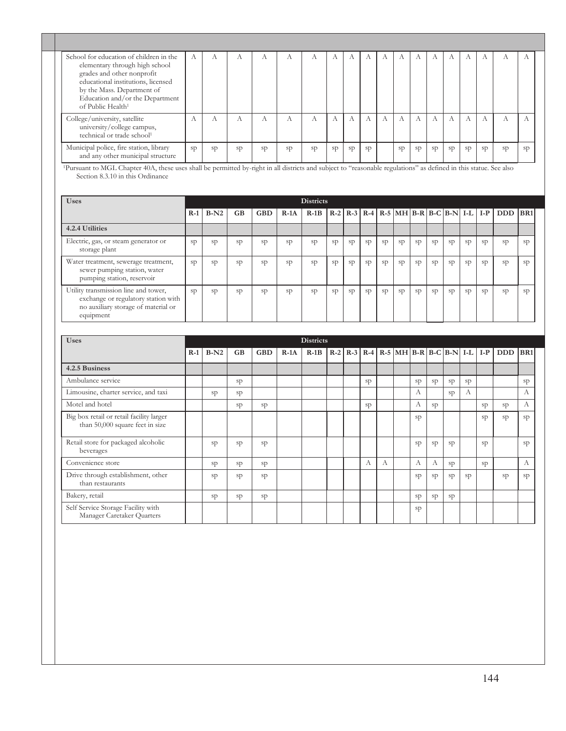| School for education of children in the<br>elementary through high school<br>grades and other nonprofit<br>educational institutions, licensed<br>by the Mass. Department of<br>Education and/or the Department<br>of Public Health <sup>1</sup> |    |               |               |    |    | А  |    |    |    |           |    |    |    |    |    |    | $\Lambda$ |
|-------------------------------------------------------------------------------------------------------------------------------------------------------------------------------------------------------------------------------------------------|----|---------------|---------------|----|----|----|----|----|----|-----------|----|----|----|----|----|----|-----------|
| College/university, satellite<br>university/college campus,<br>technical or trade school <sup>1</sup>                                                                                                                                           |    |               |               |    |    |    | A  |    |    |           | A  |    |    |    |    |    | A         |
| Municipal police, fire station, library<br>and any other municipal structure                                                                                                                                                                    | sp | <sub>SD</sub> | <sub>SD</sub> | sp | sp | sp | sp | sp | sp | <b>SD</b> | sp | sp | sp | sp | sp | sp | sp        |

<sup>1</sup>Pursuant to MGL Chapter 40A, these uses shall be permitted by-right in all districts and subject to "reasonable regulations" as defined in this statue. See also Section 8.3.10 in this Ordinance

| <b>Uses</b>                                                                                                                     |       |        |           |            |        | Districts      |                |    |    |    |    |    |    |    |    |    |                                                |    |
|---------------------------------------------------------------------------------------------------------------------------------|-------|--------|-----------|------------|--------|----------------|----------------|----|----|----|----|----|----|----|----|----|------------------------------------------------|----|
|                                                                                                                                 | $R-1$ | $B-N2$ | <b>GB</b> | <b>GBD</b> | $R-1A$ | $R-1B$         |                |    |    |    |    |    |    |    |    |    | R-2 R-3 R-4 R-5 MH B-R B-C B-N I-L I-P DDD BR1 |    |
| 4.2.4 Utilities                                                                                                                 |       |        |           |            |        |                |                |    |    |    |    |    |    |    |    |    |                                                |    |
| Electric, gas, or steam generator or<br>storage plant                                                                           | sp    | SD     | sp        | sp         | sp     | <b>SD</b>      | sp             | sp | sp | sp | sp | sp | sp | sp | sp | sp | sp                                             | sp |
| Water treatment, sewerage treatment,<br>sewer pumping station, water<br>pumping station, reservoir                              | sp    | sp     | sp        | sp         | sp     | <sub>S</sub> p | <sub>S</sub> p | sp | sp | sp | sp | sp | sp | sp | sp | sp | sp                                             | sp |
| Utility transmission line and tower,<br>exchange or regulatory station with<br>no auxiliary storage of material or<br>equipment | sp    | sp     | sp        | sp         | sp     | <sub>S</sub> p | sp             | sp | sp | sp | sp | sp | sp | sp | sp | sp | sp                                             | sp |

| <b>Uses</b>                                                                 |       |        |           |            |        | <b>Districts</b> |  |    |   |                                                            |    |    |    |    |    |            |                 |
|-----------------------------------------------------------------------------|-------|--------|-----------|------------|--------|------------------|--|----|---|------------------------------------------------------------|----|----|----|----|----|------------|-----------------|
|                                                                             | $R-1$ | $B-N2$ | <b>GB</b> | <b>GBD</b> | $R-1A$ | $R-1B$           |  |    |   | $R-2$ $R-3$ $R-4$ $R-5$ $MH$ $B-R$ $B-C$ $B-N$ $I-L$ $I-P$ |    |    |    |    |    | <b>DDD</b> | BR <sub>1</sub> |
| 4.2.5 Business                                                              |       |        |           |            |        |                  |  |    |   |                                                            |    |    |    |    |    |            |                 |
| Ambulance service                                                           |       |        | sp        |            |        |                  |  | sp |   |                                                            | sp | sp | sp | sp |    |            | sp              |
| Limousine, charter service, and taxi                                        |       | sp     | sp        |            |        |                  |  |    |   |                                                            | А  |    | sp | А  |    |            | А               |
| Motel and hotel                                                             |       |        | sp        | sp         |        |                  |  | sp |   |                                                            | A  | sp |    |    | sp | sp         | А               |
| Big box retail or retail facility larger<br>than 50,000 square feet in size |       |        |           |            |        |                  |  |    |   |                                                            | sp |    |    |    | sp | sp         | sp              |
| Retail store for packaged alcoholic<br>beverages                            |       | sp     | sp        | sp         |        |                  |  |    |   |                                                            | sp | sp | sp |    | sp |            | sp              |
| Convenience store                                                           |       | sp     | sp        | sp         |        |                  |  | А  | А |                                                            | А  | A  | sp |    | sp |            | А               |
| Drive through establishment, other<br>than restaurants                      |       | sp     | sp        | sp         |        |                  |  |    |   |                                                            | sp | sp | sp | sp |    | sp         | sp              |
| Bakery, retail                                                              |       | sp     | sp        | sp         |        |                  |  |    |   |                                                            | sp | sp | sp |    |    |            |                 |
| Self Service Storage Facility with<br>Manager Caretaker Quarters            |       |        |           |            |        |                  |  |    |   |                                                            | sp |    |    |    |    |            |                 |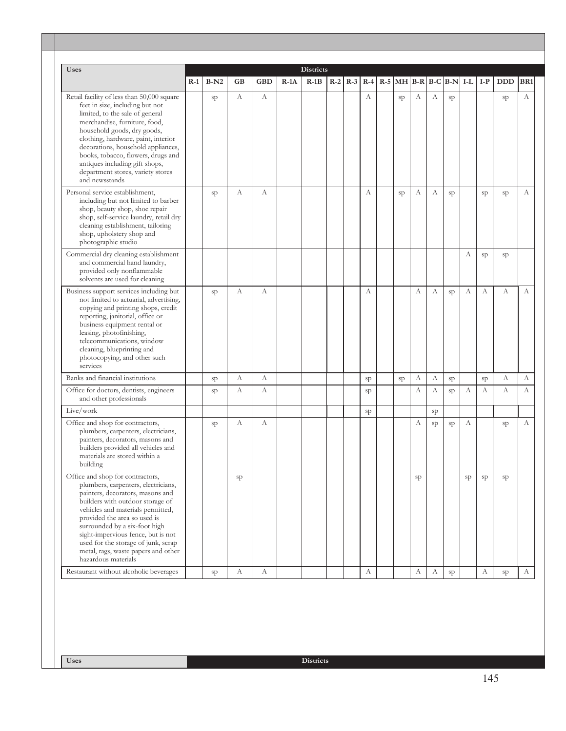|                                                                                                                                                                                                                                                                                                                                                                                                  | $R-1$ | $B-N2$ | GB | <b>GBD</b> | $R-1A$ | $R-1B$ | $R-2$ |    |    |    |    | $R-3$ R-4 R-5 MH B-R B-C B-N I-L I-P |    |             | <b>DDD</b> | BR <sub>1</sub> |
|--------------------------------------------------------------------------------------------------------------------------------------------------------------------------------------------------------------------------------------------------------------------------------------------------------------------------------------------------------------------------------------------------|-------|--------|----|------------|--------|--------|-------|----|----|----|----|--------------------------------------|----|-------------|------------|-----------------|
| Retail facility of less than 50,000 square<br>feet in size, including but not<br>limited, to the sale of general<br>merchandise, furniture, food,<br>household goods, dry goods,<br>clothing, hardware, paint, interior<br>decorations, household appliances,<br>books, tobacco, flowers, drugs and<br>antiques including gift shops,<br>department stores, variety stores<br>and newsstands     |       | sp     | А  | А          |        |        |       | А  | sp | А  | А  | sp                                   |    |             | sp         | А               |
| Personal service establishment,<br>including but not limited to barber<br>shop, beauty shop, shoe repair<br>shop, self-service laundry, retail dry<br>cleaning establishment, tailoring<br>shop, upholstery shop and<br>photographic studio                                                                                                                                                      |       | sp     | А  | А          |        |        |       | А  | sp | А  | А  | sp                                   |    | sp          | sp         | А               |
| Commercial dry cleaning establishment<br>and commercial hand laundry,<br>provided only nonflammable<br>solvents are used for cleaning                                                                                                                                                                                                                                                            |       |        |    |            |        |        |       |    |    |    |    |                                      | А  | sp          | sp         |                 |
| Business support services including but<br>not limited to actuarial, advertising,<br>copying and printing shops, credit<br>reporting, janitorial, office or<br>business equipment rental or<br>leasing, photofinishing,<br>telecommunications, window<br>cleaning, blueprinting and<br>photocopying, and other such<br>services                                                                  |       | sp     | А  | А          |        |        |       | А  |    | А  | А  | sp                                   | A  | A           | A          | А               |
| Banks and financial institutions                                                                                                                                                                                                                                                                                                                                                                 |       | sp     | A  | A          |        |        |       | sp | sp | А  | A  | sp                                   |    | $_{\rm sp}$ | А          | A               |
| Office for doctors, dentists, engineers<br>and other professionals                                                                                                                                                                                                                                                                                                                               |       | sp     | А  | А          |        |        |       | sp |    | А  | А  | sp                                   | А  | А           | А          | А               |
| Live/work                                                                                                                                                                                                                                                                                                                                                                                        |       |        |    |            |        |        |       | sp |    |    | sp |                                      |    |             |            |                 |
| Office and shop for contractors,<br>plumbers, carpenters, electricians,<br>painters, decorators, masons and<br>builders provided all vehicles and<br>materials are stored within a<br>building                                                                                                                                                                                                   |       | sp     | А  | A          |        |        |       |    |    | А  | sp | sp                                   | А  |             | sp         | А               |
| Office and shop for contractors,<br>plumbers, carpenters, electricians,<br>painters, decorators, masons and<br>builders with outdoor storage of<br>vehicles and materials permitted,<br>provided the area so used is<br>surrounded by a six-foot high<br>sight-impervious fence, but is not<br>used for the storage of junk, scrap<br>metal, rags, waste papers and other<br>hazardous materials |       |        | sp |            |        |        |       |    |    | sp |    |                                      | sp | sp          | sp         |                 |
|                                                                                                                                                                                                                                                                                                                                                                                                  |       | sp     | A  | A          |        |        |       | А  |    | А  | А  | sp                                   |    | А           | sp         | А               |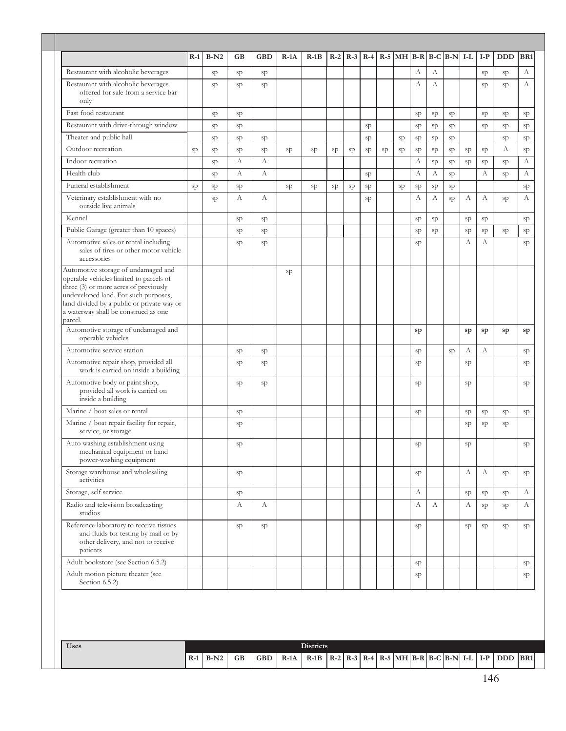|                                                                                                                                                                                                                                                                  | $R-1$ | $B-N2$ | GB | <b>GBD</b> | $R-1A$ | $R-1B$ |    | $R-2$ R-3 R-4 R-5 MH B-R B-C B-N I-L |    |    |    |    |    |             |    | $I-P$        | <b>DDD</b> | BR1 |
|------------------------------------------------------------------------------------------------------------------------------------------------------------------------------------------------------------------------------------------------------------------|-------|--------|----|------------|--------|--------|----|--------------------------------------|----|----|----|----|----|-------------|----|--------------|------------|-----|
| Restaurant with alcoholic beverages                                                                                                                                                                                                                              |       | sp     | sp | sp         |        |        |    |                                      |    |    |    | А  | А  |             |    | sp           | sp         | А   |
| Restaurant with alcoholic beverages<br>offered for sale from a service bar<br>only                                                                                                                                                                               |       | sp     | sp | sp         |        |        |    |                                      |    |    |    | А  | А  |             |    | sp           | sp         | А   |
| Fast food restaurant                                                                                                                                                                                                                                             |       | sp     | sp |            |        |        |    |                                      |    |    |    | sp | sp | sp          |    | sp           | sp         | sp  |
| Restaurant with drive-through window                                                                                                                                                                                                                             |       | sp     | sp |            |        |        |    |                                      | sp |    |    | sp | sp | sp          |    | sp           | sp         | sp  |
| Theater and public hall                                                                                                                                                                                                                                          |       | sp     | sp | sp         |        |        |    |                                      | sp |    | sp | sp | sp | sp          |    |              | sp         | sp  |
| Outdoor recreation                                                                                                                                                                                                                                               | sp    | sp     | sp | sp         | sp     | sp     | sp | sp                                   | sp | sp | sp | sp | sp | $_{\rm sp}$ | sp | sp           | А          | sp  |
| Indoor recreation                                                                                                                                                                                                                                                |       | sp     | А  | А          |        |        |    |                                      |    |    |    | А  | sp | sp          | sp | sp           | sp         | А   |
| Health club                                                                                                                                                                                                                                                      |       | sp     | А  | А          |        |        |    |                                      | sp |    |    | А  | A  | sp          |    | $\mathbf{A}$ | sp         | А   |
| Funeral establishment                                                                                                                                                                                                                                            | sp    | sp     | sp |            | sp     | sp     | sp | sp                                   | sp |    | sp | sp | sp | sp          |    |              |            | sp  |
| Veterinary establishment with no<br>outside live animals                                                                                                                                                                                                         |       | sp     | А  | А          |        |        |    |                                      | sp |    |    | А  | А  | sp          | А  | A            | sp         | А   |
| Kennel                                                                                                                                                                                                                                                           |       |        | sp | sp         |        |        |    |                                      |    |    |    | sp | sp |             | sp | sp           |            | sp  |
| Public Garage (greater than 10 spaces)                                                                                                                                                                                                                           |       |        | sp | sp         |        |        |    |                                      |    |    |    | sp | sp |             | sp | sp           | sp         | sp  |
| Automotive sales or rental including<br>sales of tires or other motor vehicle<br>accessories                                                                                                                                                                     |       |        | sp | sp         |        |        |    |                                      |    |    |    | sp |    |             | A  | А            |            | sp  |
| Automotive storage of undamaged and<br>operable vehicles limited to parcels of<br>three (3) or more acres of previously<br>undeveloped land. For such purposes,<br>land divided by a public or private way or<br>a waterway shall be construed as one<br>parcel. |       |        |    |            | sp     |        |    |                                      |    |    |    |    |    |             |    |              |            |     |
| Automotive storage of undamaged and<br>operable vehicles                                                                                                                                                                                                         |       |        |    |            |        |        |    |                                      |    |    |    | sp |    |             | sp | sp           | sp         | sp  |
| Automotive service station                                                                                                                                                                                                                                       |       |        | sp | sp         |        |        |    |                                      |    |    |    | sp |    | sp          | А  | А            |            | sp  |
| Automotive repair shop, provided all<br>work is carried on inside a building                                                                                                                                                                                     |       |        | sp | sp         |        |        |    |                                      |    |    |    | sp |    |             | sp |              |            | sp  |
| Automotive body or paint shop,<br>provided all work is carried on<br>inside a building                                                                                                                                                                           |       |        | sp | sp         |        |        |    |                                      |    |    |    | sp |    |             | sp |              |            | sp  |
| Marine / boat sales or rental                                                                                                                                                                                                                                    |       |        | sp |            |        |        |    |                                      |    |    |    | sp |    |             | sp | sp           | sp         | sp  |
| Marine / boat repair facility for repair,<br>service, or storage                                                                                                                                                                                                 |       |        | sp |            |        |        |    |                                      |    |    |    |    |    |             | sp | sp           | sp         |     |
| Auto washing establishment using<br>mechanical equipment or hand<br>power-washing equipment                                                                                                                                                                      |       |        | sp |            |        |        |    |                                      |    |    |    | sp |    |             | sp |              |            | sp  |
| Storage warehouse and wholesaling<br>activities                                                                                                                                                                                                                  |       |        | sp |            |        |        |    |                                      |    |    |    | sp |    |             | А  | А            | sp         | sp  |
| Storage, self service                                                                                                                                                                                                                                            |       |        | sp |            |        |        |    |                                      |    |    |    | А  |    |             | sp | sp           | sp         | А   |
| Radio and television broadcasting<br>studios                                                                                                                                                                                                                     |       |        | А  | А          |        |        |    |                                      |    |    |    | А  | А  |             | А  | sp           | sp         | А   |
| Reference laboratory to receive tissues<br>and fluids for testing by mail or by<br>other delivery, and not to receive<br>patients                                                                                                                                |       |        | sp | sp         |        |        |    |                                      |    |    |    | sp |    |             | sp | sp           | sp         | sp  |
| Adult bookstore (see Section 6.5.2)                                                                                                                                                                                                                              |       |        |    |            |        |        |    |                                      |    |    |    | sp |    |             |    |              |            | sp  |
|                                                                                                                                                                                                                                                                  |       |        |    |            |        |        |    |                                      |    |    |    | sp |    |             |    |              |            | sp  |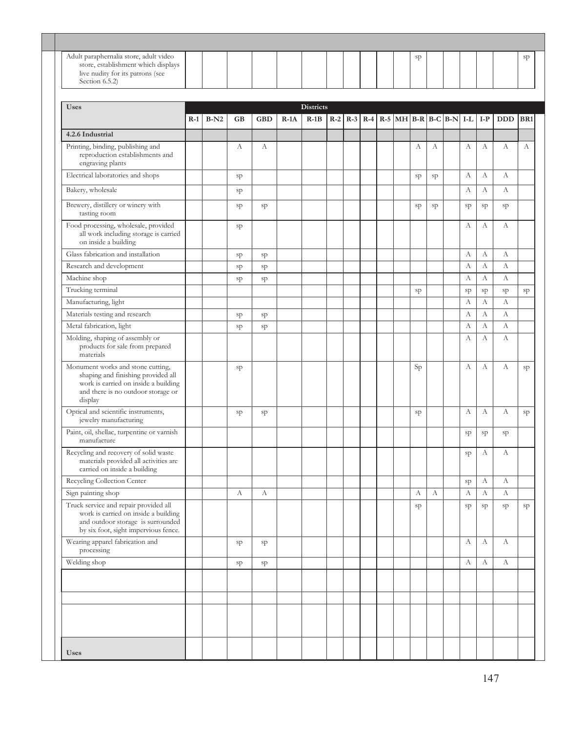| <b>Uses</b>                                                                                                                                                      |       |        |           |            |        |                            |       |  |  |    |    |                                                      |    |    |            |                 |
|------------------------------------------------------------------------------------------------------------------------------------------------------------------|-------|--------|-----------|------------|--------|----------------------------|-------|--|--|----|----|------------------------------------------------------|----|----|------------|-----------------|
|                                                                                                                                                                  |       |        |           |            |        |                            |       |  |  |    |    |                                                      |    |    |            |                 |
|                                                                                                                                                                  | $R-1$ | $B-N2$ | <b>GB</b> | <b>GBD</b> | $R-1A$ | <b>Districts</b><br>$R-1B$ | $R-2$ |  |  |    |    | $R-3$ $R-4$ $R-5$ $MH$ $B-R$ $B-C$ $B-N$ $I-L$ $I-P$ |    |    | <b>DDD</b> | BR <sub>1</sub> |
| 4.2.6 Industrial                                                                                                                                                 |       |        |           |            |        |                            |       |  |  |    |    |                                                      |    |    |            |                 |
| Printing, binding, publishing and<br>reproduction establishments and<br>engraving plants                                                                         |       |        | А         | А          |        |                            |       |  |  | А  | А  |                                                      | А  | А  | А          |                 |
| Electrical laboratories and shops                                                                                                                                |       |        | sp        |            |        |                            |       |  |  | sp | sp |                                                      | А  | А  | А          |                 |
| Bakery, wholesale                                                                                                                                                |       |        | sp        |            |        |                            |       |  |  |    |    |                                                      | А  | А  | A          |                 |
| Brewery, distillery or winery with<br>tasting room                                                                                                               |       |        | sp        | sp         |        |                            |       |  |  | sp | sp |                                                      | sp | sp | sp         |                 |
| Food processing, wholesale, provided<br>all work including storage is carried<br>on inside a building                                                            |       |        | sp        |            |        |                            |       |  |  |    |    |                                                      | А  | А  | А          |                 |
| Glass fabrication and installation                                                                                                                               |       |        | sp        | sp         |        |                            |       |  |  |    |    |                                                      | А  | А  | A          |                 |
| Research and development                                                                                                                                         |       |        | sp        | sp         |        |                            |       |  |  |    |    |                                                      | А  | А  | A          |                 |
| Machine shop                                                                                                                                                     |       |        | sp        | sp         |        |                            |       |  |  |    |    |                                                      | А  | А  | A          |                 |
| Trucking terminal                                                                                                                                                |       |        |           |            |        |                            |       |  |  | sp |    |                                                      | sp | sp | sp         |                 |
| Manufacturing, light                                                                                                                                             |       |        |           |            |        |                            |       |  |  |    |    |                                                      | А  | A  | A          |                 |
| Materials testing and research                                                                                                                                   |       |        | sp        | sp         |        |                            |       |  |  |    |    |                                                      | А  | А  | А          |                 |
| Metal fabrication, light                                                                                                                                         |       |        | sp        | sp         |        |                            |       |  |  |    |    |                                                      | А  | А  | А          |                 |
| Molding, shaping of assembly or<br>products for sale from prepared<br>materials                                                                                  |       |        |           |            |        |                            |       |  |  |    |    |                                                      | A  | A  | A          |                 |
| Monument works and stone cutting,<br>shaping and finishing provided all<br>work is carried on inside a building<br>and there is no outdoor storage or<br>display |       |        | sp        |            |        |                            |       |  |  | Sp |    |                                                      | А  | А  | А          |                 |
| Optical and scientific instruments,<br>jewelry manufacturing                                                                                                     |       |        | sp        | sp         |        |                            |       |  |  | sp |    |                                                      | А  | А  | А          |                 |
| Paint, oil, shellac, turpentine or varnish<br>manufacture                                                                                                        |       |        |           |            |        |                            |       |  |  |    |    |                                                      | sp | sp | sp         |                 |
| Recycling and recovery of solid waste<br>materials provided all activities are<br>carried on inside a building                                                   |       |        |           |            |        |                            |       |  |  |    |    |                                                      | sp | А  | А          |                 |
| Recycling Collection Center                                                                                                                                      |       |        |           |            |        |                            |       |  |  |    |    |                                                      | sp | А  | А          |                 |
| Sign painting shop                                                                                                                                               |       |        | А         | А          |        |                            |       |  |  | А  | А  |                                                      | А  | А  | A          |                 |
| Truck service and repair provided all<br>work is carried on inside a building<br>and outdoor storage is surrounded<br>by six foot, sight impervious fence.       |       |        |           |            |        |                            |       |  |  | sp |    |                                                      | sp | sp | sp         |                 |
| Wearing apparel fabrication and<br>processing                                                                                                                    |       |        | sp        | sp         |        |                            |       |  |  |    |    |                                                      | А  | А  | A          |                 |
| Welding shop                                                                                                                                                     |       |        | sp        | sp         |        |                            |       |  |  |    |    |                                                      | А  | А  | A          |                 |
|                                                                                                                                                                  |       |        |           |            |        |                            |       |  |  |    |    |                                                      |    |    |            |                 |
|                                                                                                                                                                  |       |        |           |            |        |                            |       |  |  |    |    |                                                      |    |    |            |                 |
|                                                                                                                                                                  |       |        |           |            |        |                            |       |  |  |    |    |                                                      |    |    |            |                 |
|                                                                                                                                                                  |       |        |           |            |        |                            |       |  |  |    |    |                                                      |    |    |            |                 |